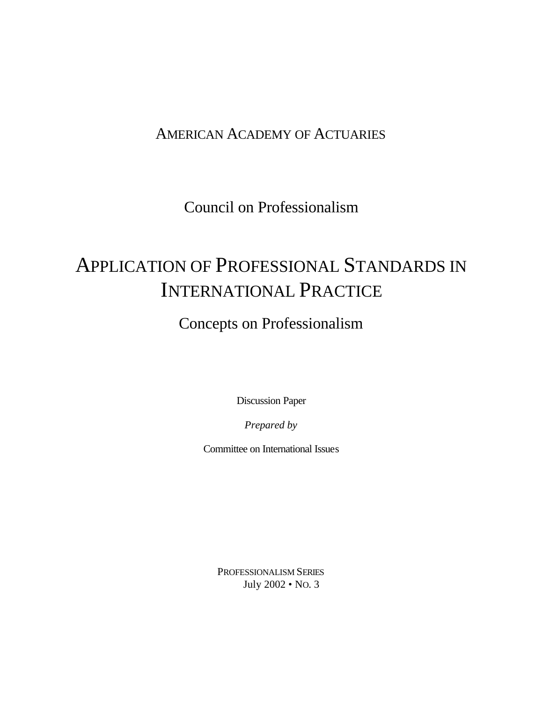### AMERICAN ACADEMY OF ACTUARIES

Council on Professionalism

# APPLICATION OF PROFESSIONAL STANDARDS IN INTERNATIONAL PRACTICE

### Concepts on Professionalism

Discussion Paper

*Prepared by*

Committee on International Issues

PROFESSIONALISM SERIES July 2002 • NO. 3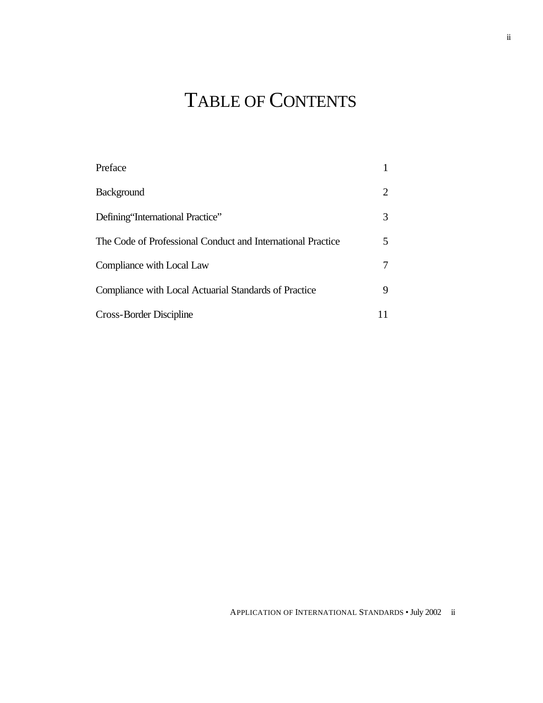# TABLE OF CONTENTS

| Preface                                                     |    |
|-------------------------------------------------------------|----|
| <b>Background</b>                                           | 2  |
| Defining 'International Practice''                          | 3  |
| The Code of Professional Conduct and International Practice | 5. |
| Compliance with Local Law                                   |    |
| Compliance with Local Actuarial Standards of Practice       | 9  |
| Cross-Border Discipline                                     |    |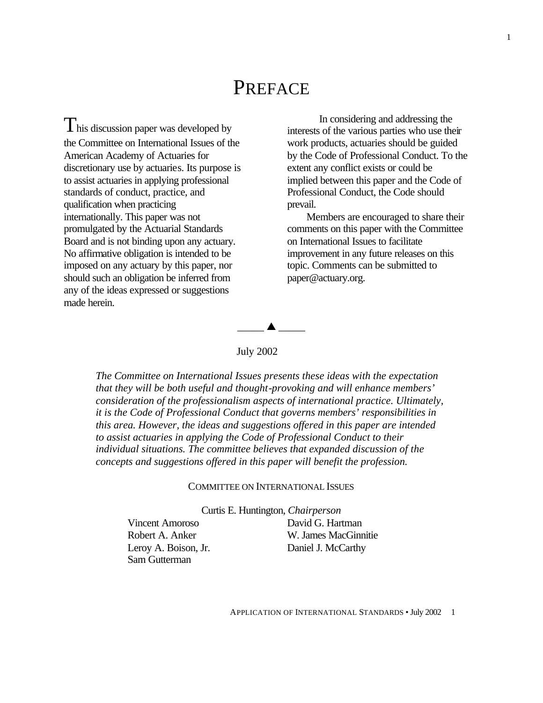## PREFACE

 $T_{\text{his discussion paper was developed by}}$ the Committee on International Issues of the American Academy of Actuaries for discretionary use by actuaries. Its purpose is to assist actuaries in applying professional standards of conduct, practice, and qualification when practicing internationally. This paper was not promulgated by the Actuarial Standards Board and is not binding upon any actuary. No affirmative obligation is intended to be imposed on any actuary by this paper, nor should such an obligation be inferred from any of the ideas expressed or suggestions made herein.

In considering and addressing the interests of the various parties who use their work products, actuaries should be guided by the Code of Professional Conduct. To the extent any conflict exists or could be implied between this paper and the Code of Professional Conduct, the Code should prevail.

Members are encouraged to share their comments on this paper with the Committee on International Issues to facilitate improvement in any future releases on this topic. Comments can be submitted to [paper@actuary.org.](mailto:paper@actuary.org)



#### July 2002

*The Committee on International Issues presents these ideas with the expectation that they will be both useful and thought-provoking and will enhance members' consideration of the professionalism aspects of international practice. Ultimately, it is the Code of Professional Conduct that governs members' responsibilities in this area. However, the ideas and suggestions offered in this paper are intended to assist actuaries in applying the Code of Professional Conduct to their individual situations. The committee believes that expanded discussion of the concepts and suggestions offered in this paper will benefit the profession.*

#### COMMITTEE ON INTERNATIONAL ISSUES

Curtis E. Huntington, *Chairperson*

 Vincent Amoroso David G. Hartman Leroy A. Boison, Jr. Daniel J. McCarthy Sam Gutterman

Robert A. Anker W. James MacGinnitie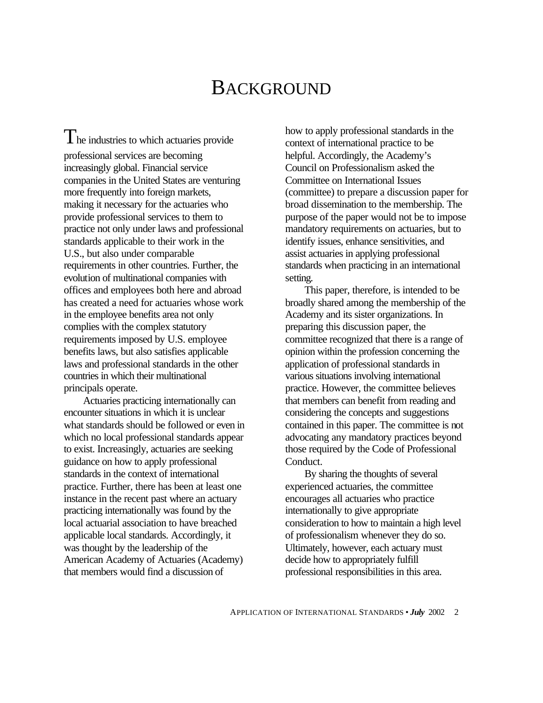## **BACKGROUND**

 $\mathbf{I}$  he industries to which actuaries provide professional services are becoming increasingly global. Financial service companies in the United States are venturing more frequently into foreign markets, making it necessary for the actuaries who provide professional services to them to practice not only under laws and professional standards applicable to their work in the U.S., but also under comparable requirements in other countries. Further, the evolution of multinational companies with offices and employees both here and abroad has created a need for actuaries whose work in the employee benefits area not only complies with the complex statutory requirements imposed by U.S. employee benefits laws, but also satisfies applicable laws and professional standards in the other countries in which their multinational principals operate.

Actuaries practicing internationally can encounter situations in which it is unclear what standards should be followed or even in which no local professional standards appear to exist. Increasingly, actuaries are seeking guidance on how to apply professional standards in the context of international practice. Further, there has been at least one instance in the recent past where an actuary practicing internationally was found by the local actuarial association to have breached applicable local standards. Accordingly, it was thought by the leadership of the American Academy of Actuaries (Academy) that members would find a discussion of

how to apply professional standards in the context of international practice to be helpful. Accordingly, the Academy's Council on Professionalism asked the Committee on International Issues (committee) to prepare a discussion paper for broad dissemination to the membership. The purpose of the paper would not be to impose mandatory requirements on actuaries, but to identify issues, enhance sensitivities, and assist actuaries in applying professional standards when practicing in an international setting.

This paper, therefore, is intended to be broadly shared among the membership of the Academy and its sister organizations. In preparing this discussion paper, the committee recognized that there is a range of opinion within the profession concerning the application of professional standards in various situations involving international practice. However, the committee believes that members can benefit from reading and considering the concepts and suggestions contained in this paper. The committee is not advocating any mandatory practices beyond those required by the Code of Professional Conduct.

By sharing the thoughts of several experienced actuaries, the committee encourages all actuaries who practice internationally to give appropriate consideration to how to maintain a high level of professionalism whenever they do so. Ultimately, however, each actuary must decide how to appropriately fulfill professional responsibilities in this area.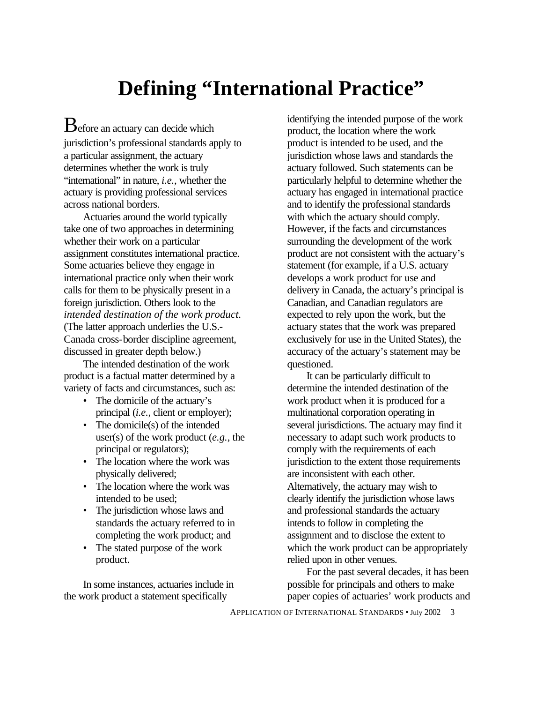# **Defining "International Practice"**

**B** efore an actuary can decide which jurisdiction's professional standards apply to a particular assignment, the actuary determines whether the work is truly "international" in nature, *i.e.*, whether the actuary is providing professional services across national borders.

Actuaries around the world typically take one of two approaches in determining whether their work on a particular assignment constitutes international practice. Some actuaries believe they engage in international practice only when their work calls for them to be physically present in a foreign jurisdiction. Others look to the *intended destination of the work product.* (The latter approach underlies the U.S.- Canada cross-border discipline agreement, discussed in greater depth below.)

The intended destination of the work product is a factual matter determined by a variety of facts and circumstances, such as:

- The domicile of the actuary's principal (*i.e.*, client or employer);
- The domicile(s) of the intended user(s) of the work product (*e.g.*, the principal or regulators);
- The location where the work was physically delivered;
- The location where the work was intended to be used;
- The jurisdiction whose laws and standards the actuary referred to in completing the work product; and
- The stated purpose of the work product.

In some instances, actuaries include in the work product a statement specifically

identifying the intended purpose of the work product, the location where the work product is intended to be used, and the jurisdiction whose laws and standards the actuary followed. Such statements can be particularly helpful to determine whether the actuary has engaged in international practice and to identify the professional standards with which the actuary should comply. However, if the facts and circumstances surrounding the development of the work product are not consistent with the actuary's statement (for example, if a U.S. actuary develops a work product for use and delivery in Canada, the actuary's principal is Canadian, and Canadian regulators are expected to rely upon the work, but the actuary states that the work was prepared exclusively for use in the United States), the accuracy of the actuary's statement may be questioned.

It can be particularly difficult to determine the intended destination of the work product when it is produced for a multinational corporation operating in several jurisdictions. The actuary may find it necessary to adapt such work products to comply with the requirements of each jurisdiction to the extent those requirements are inconsistent with each other. Alternatively, the actuary may wish to clearly identify the jurisdiction whose laws and professional standards the actuary intends to follow in completing the assignment and to disclose the extent to which the work product can be appropriately relied upon in other venues.

For the past several decades, it has been possible for principals and others to make paper copies of actuaries' work products and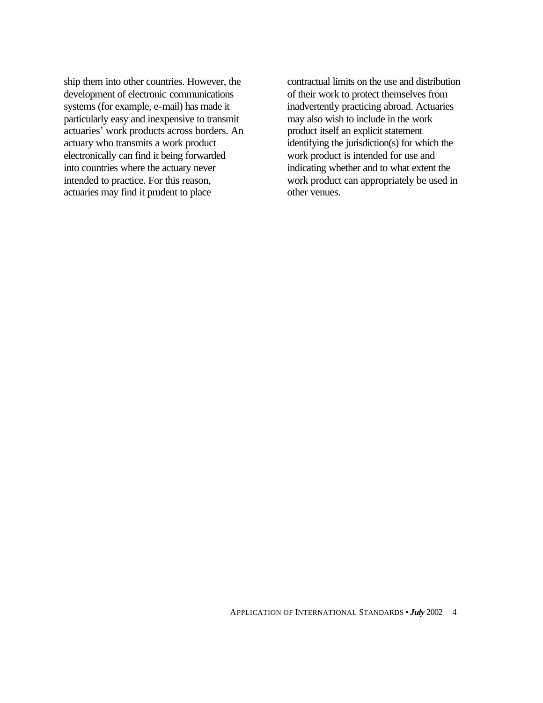ship them into other countries. However, the development of electronic communications systems (for example, e-mail) has made it particularly easy and inexpensive to transmit actuaries' work products across borders. An actuary who transmits a work product electronically can find it being forwarded into countries where the actuary never intended to practice. For this reason, actuaries may find it prudent to place

contractual limits on the use and distribution of their work to protect themselves from inadvertently practicing abroad. Actuaries may also wish to include in the work product itself an explicit statement identifying the jurisdiction(s) for which the work product is intended for use and indicating whether and to what extent the work product can appropriately be used in other venues.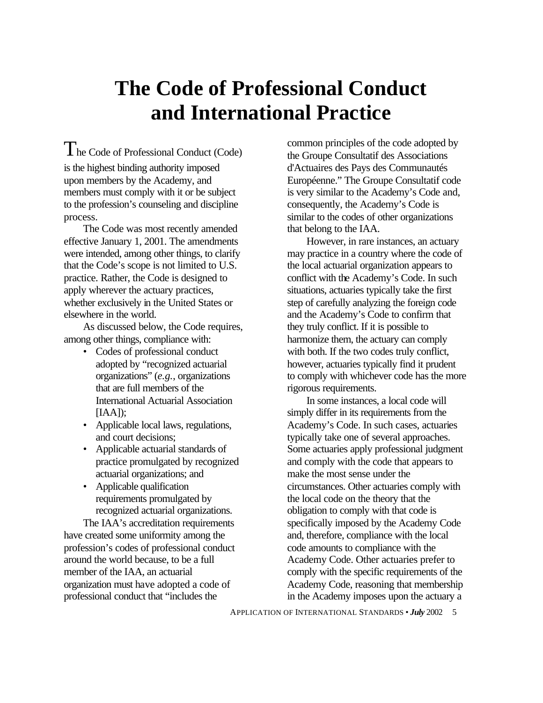## **The Code of Professional Conduct and International Practice**

The Code of Professional Conduct (Code) is the highest binding authority imposed upon members by the Academy, and members must comply with it or be subject to the profession's counseling and discipline process.

The Code was most recently amended effective January 1, 2001. The amendments were intended, among other things, to clarify that the Code's scope is not limited to U.S. practice. Rather, the Code is designed to apply wherever the actuary practices, whether exclusively in the United States or elsewhere in the world.

As discussed below, the Code requires, among other things, compliance with:

- Codes of professional conduct adopted by "recognized actuarial organizations" (*e.g.*, organizations that are full members of the International Actuarial Association [IAA]);
- Applicable local laws, regulations, and court decisions;
- Applicable actuarial standards of practice promulgated by recognized actuarial organizations; and
- Applicable qualification requirements promulgated by recognized actuarial organizations.

The IAA's accreditation requirements have created some uniformity among the profession's codes of professional conduct around the world because, to be a full member of the IAA, an actuarial organization must have adopted a code of professional conduct that "includes the

common principles of the code adopted by the Groupe Consultatif des Associations d'Actuaires des Pays des Communautés Européenne." The Groupe Consultatif code is very similar to the Academy's Code and, consequently, the Academy's Code is similar to the codes of other organizations that belong to the IAA.

However, in rare instances, an actuary may practice in a country where the code of the local actuarial organization appears to conflict with the Academy's Code. In such situations, actuaries typically take the first step of carefully analyzing the foreign code and the Academy's Code to confirm that they truly conflict. If it is possible to harmonize them, the actuary can comply with both. If the two codes truly conflict, however, actuaries typically find it prudent to comply with whichever code has the more rigorous requirements.

In some instances, a local code will simply differ in its requirements from the Academy's Code. In such cases, actuaries typically take one of several approaches. Some actuaries apply professional judgment and comply with the code that appears to make the most sense under the circumstances. Other actuaries comply with the local code on the theory that the obligation to comply with that code is specifically imposed by the Academy Code and, therefore, compliance with the local code amounts to compliance with the Academy Code. Other actuaries prefer to comply with the specific requirements of the Academy Code, reasoning that membership in the Academy imposes upon the actuary a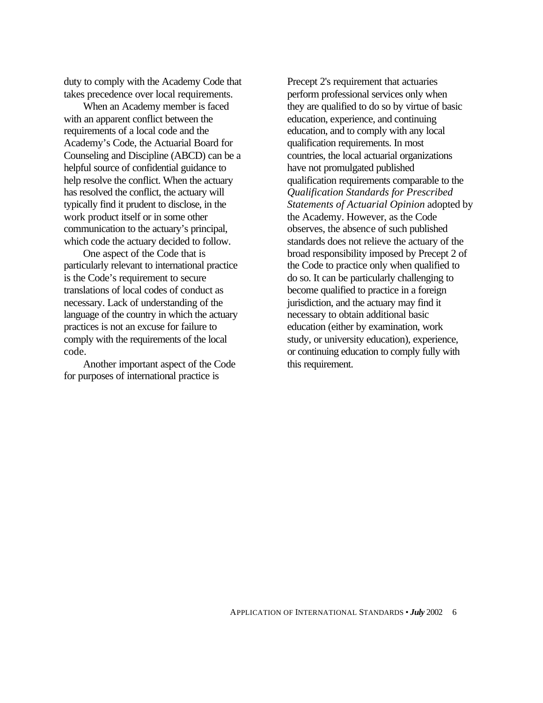duty to comply with the Academy Code that takes precedence over local requirements.

When an Academy member is faced with an apparent conflict between the requirements of a local code and the Academy's Code, the Actuarial Board for Counseling and Discipline (ABCD) can be a helpful source of confidential guidance to help resolve the conflict. When the actuary has resolved the conflict, the actuary will typically find it prudent to disclose, in the work product itself or in some other communication to the actuary's principal, which code the actuary decided to follow.

One aspect of the Code that is particularly relevant to international practice is the Code's requirement to secure translations of local codes of conduct as necessary. Lack of understanding of the language of the country in which the actuary practices is not an excuse for failure to comply with the requirements of the local code.

Another important aspect of the Code for purposes of international practice is

Precept 2's requirement that actuaries perform professional services only when they are qualified to do so by virtue of basic education, experience, and continuing education, and to comply with any local qualification requirements. In most countries, the local actuarial organizations have not promulgated published qualification requirements comparable to the *Qualification Standards for Prescribed Statements of Actuarial Opinion* adopted by the Academy. However, as the Code observes, the absence of such published standards does not relieve the actuary of the broad responsibility imposed by Precept 2 of the Code to practice only when qualified to do so. It can be particularly challenging to become qualified to practice in a foreign jurisdiction, and the actuary may find it necessary to obtain additional basic education (either by examination, work study, or university education), experience, or continuing education to comply fully with this requirement.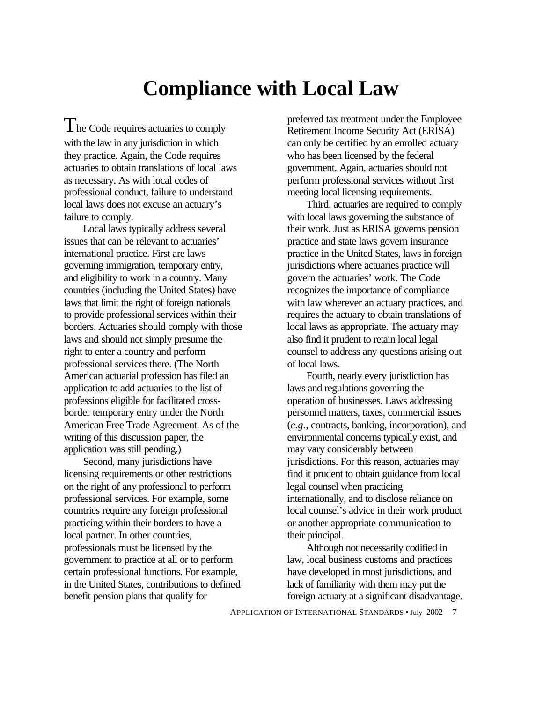## **Compliance with Local Law**

The Code requires actuaries to comply with the law in any jurisdiction in which they practice. Again, the Code requires actuaries to obtain translations of local laws as necessary. As with local codes of professional conduct, failure to understand local laws does not excuse an actuary's failure to comply.

Local laws typically address several issues that can be relevant to actuaries' international practice. First are laws governing immigration, temporary entry, and eligibility to work in a country. Many countries (including the United States) have laws that limit the right of foreign nationals to provide professional services within their borders. Actuaries should comply with those laws and should not simply presume the right to enter a country and perform professional services there. (The North American actuarial profession has filed an application to add actuaries to the list of professions eligible for facilitated crossborder temporary entry under the North American Free Trade Agreement. As of the writing of this discussion paper, the application was still pending.)

Second, many jurisdictions have licensing requirements or other restrictions on the right of any professional to perform professional services. For example, some countries require any foreign professional practicing within their borders to have a local partner. In other countries, professionals must be licensed by the government to practice at all or to perform certain professional functions. For example, in the United States, contributions to defined benefit pension plans that qualify for

preferred tax treatment under the Employee Retirement Income Security Act (ERISA) can only be certified by an enrolled actuary who has been licensed by the federal government. Again, actuaries should not perform professional services without first meeting local licensing requirements.

Third, actuaries are required to comply with local laws governing the substance of their work. Just as ERISA governs pension practice and state laws govern insurance practice in the United States, laws in foreign jurisdictions where actuaries practice will govern the actuaries' work. The Code recognizes the importance of compliance with law wherever an actuary practices, and requires the actuary to obtain translations of local laws as appropriate. The actuary may also find it prudent to retain local legal counsel to address any questions arising out of local laws.

Fourth, nearly every jurisdiction has laws and regulations governing the operation of businesses. Laws addressing personnel matters, taxes, commercial issues (*e.g.*, contracts, banking, incorporation), and environmental concerns typically exist, and may vary considerably between jurisdictions. For this reason, actuaries may find it prudent to obtain guidance from local legal counsel when practicing internationally, and to disclose reliance on local counsel's advice in their work product or another appropriate communication to their principal.

Although not necessarily codified in law, local business customs and practices have developed in most jurisdictions, and lack of familiarity with them may put the foreign actuary at a significant disadvantage.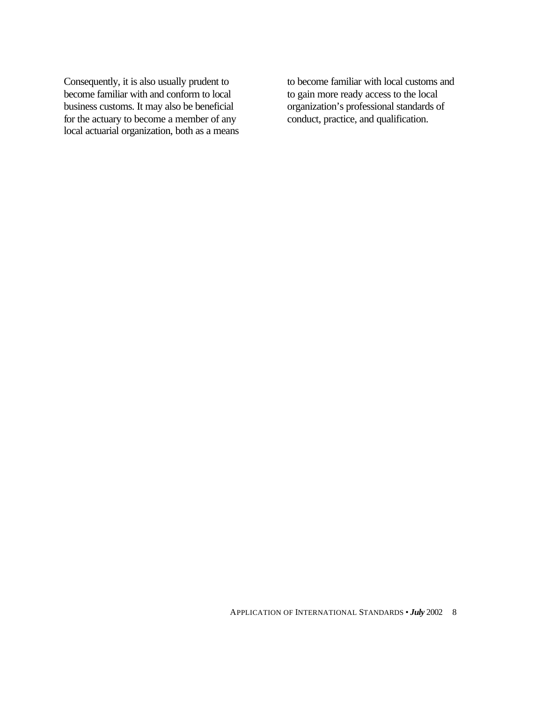Consequently, it is also usually prudent to become familiar with and conform to local business customs. It may also be beneficial for the actuary to become a member of any local actuarial organization, both as a means to become familiar with local customs and to gain more ready access to the local organization's professional standards of conduct, practice, and qualification.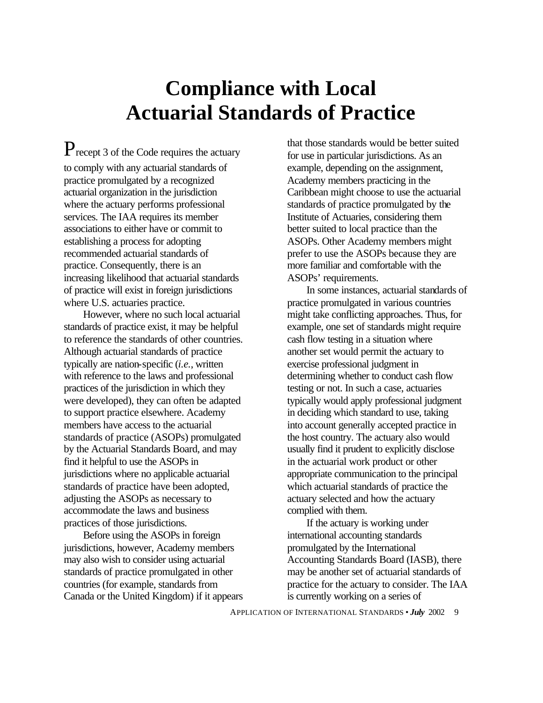## **Compliance with Local Actuarial Standards of Practice**

 $P_{\text{recent 3 of the Code requires the actuary}$ to comply with any actuarial standards of practice promulgated by a recognized actuarial organization in the jurisdiction where the actuary performs professional services. The IAA requires its member associations to either have or commit to establishing a process for adopting recommended actuarial standards of practice. Consequently, there is an increasing likelihood that actuarial standards of practice will exist in foreign jurisdictions where U.S. actuaries practice.

However, where no such local actuarial standards of practice exist, it may be helpful to reference the standards of other countries. Although actuarial standards of practice typically are nation-specific (*i.e.*, written with reference to the laws and professional practices of the jurisdiction in which they were developed), they can often be adapted to support practice elsewhere. Academy members have access to the actuarial standards of practice (ASOPs) promulgated by the Actuarial Standards Board, and may find it helpful to use the ASOPs in jurisdictions where no applicable actuarial standards of practice have been adopted, adjusting the ASOPs as necessary to accommodate the laws and business practices of those jurisdictions.

Before using the ASOPs in foreign jurisdictions, however, Academy members may also wish to consider using actuarial standards of practice promulgated in other countries (for example, standards from Canada or the United Kingdom) if it appears

that those standards would be better suited for use in particular jurisdictions. As an example, depending on the assignment, Academy members practicing in the Caribbean might choose to use the actuarial standards of practice promulgated by the Institute of Actuaries, considering them better suited to local practice than the ASOPs. Other Academy members might prefer to use the ASOPs because they are more familiar and comfortable with the ASOPs' requirements.

In some instances, actuarial standards of practice promulgated in various countries might take conflicting approaches. Thus, for example, one set of standards might require cash flow testing in a situation where another set would permit the actuary to exercise professional judgment in determining whether to conduct cash flow testing or not. In such a case, actuaries typically would apply professional judgment in deciding which standard to use, taking into account generally accepted practice in the host country. The actuary also would usually find it prudent to explicitly disclose in the actuarial work product or other appropriate communication to the principal which actuarial standards of practice the actuary selected and how the actuary complied with them.

If the actuary is working under international accounting standards promulgated by the International Accounting Standards Board (IASB), there may be another set of actuarial standards of practice for the actuary to consider. The IAA is currently working on a series of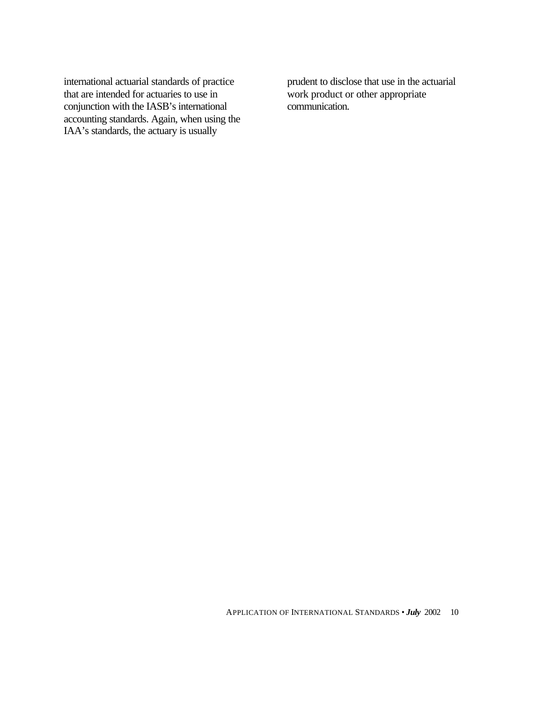international actuarial standards of practice that are intended for actuaries to use in conjunction with the IASB's international accounting standards. Again, when using the IAA's standards, the actuary is usually

prudent to disclose that use in the actuarial work product or other appropriate communication.